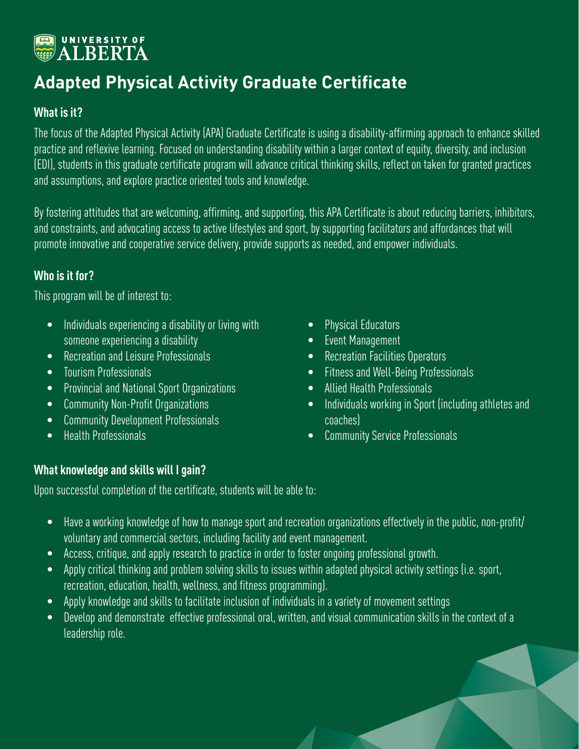# **EN UNIVERSITY OF**

### **Adapted Physical Activity Graduate Certificate**

#### **What is it?**

The focus of the Adapted Physical Activity (APA) Graduate Certificate is using a disability-affirming approach to enhance skilled practice and reflexive learning. Focused on understanding disability within a larger context of equity, diversity, and inclusion (EDI), students in this graduate certificate program will advance critical thinking skills, reflect on taken for granted practices and assumptions, and explore practice oriented tools and knowledge.

By fostering attitudes that are welcoming, affirming, and supporting, this APA Certificate is about reducing barriers, inhibitors, and constraints, and advocating access to active lifestyles and sport, by supporting facilitators and affordances that will promote innovative and cooperative service delivery, provide supports as needed, and empower individuals.

#### **Who is it for?**

This program will be of interest to:

- Individuals experiencing a disability or living with someone experiencing a disability
- Recreation and Leisure Professionals
- Tourism Professionals
- Provincial and National Sport Organizations
- Community Non-Profit Organizations
- Community Development Professionals
- Health Professionals
- Physical Educators
- Event Management
- Recreation Facilities Operators
- Fitness and Well-Being Professionals
- Allied Health Professionals
- Individuals working in Sport (including athletes and coaches)
- Community Service Professionals

#### **What knowledge and skills will I gain?**

Upon successful completion of the certificate, students will be able to:

- Have a working knowledge of how to manage sport and recreation organizations effectively in the public, non-profit/ voluntary and commercial sectors, including facility and event management.
- Access, critique, and apply research to practice in order to foster ongoing professional growth.
- Apply critical thinking and problem solving skills to issues within adapted physical activity settings (i.e. sport, recreation, education, health, wellness, and fitness programming).
- Apply knowledge and skills to facilitate inclusion of individuals in a variety of movement settings
- Develop and demonstrate effective professional oral, written, and visual communication skills in the context of a leadership role.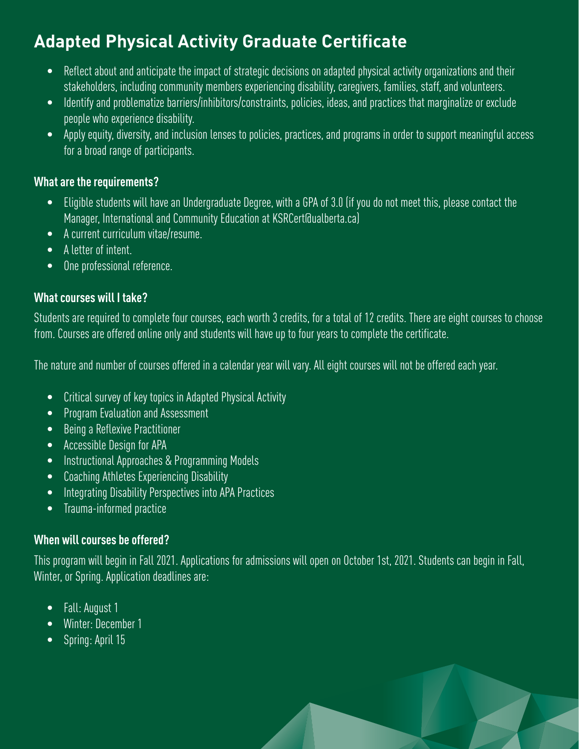### **Adapted Physical Activity Graduate Certificate**

- Reflect about and anticipate the impact of strategic decisions on adapted physical activity organizations and their stakeholders, including community members experiencing disability, caregivers, families, staff, and volunteers.
- Identify and problematize barriers/inhibitors/constraints, policies, ideas, and practices that marginalize or exclude people who experience disability.
- Apply equity, diversity, and inclusion lenses to policies, practices, and programs in order to support meaningful access for a broad range of participants.

#### **What are the requirements?**

- Eligible students will have an Undergraduate Degree, with a GPA of 3.0 (if you do not meet this, please contact the Manager, International and Community Education at KSRCert@ualberta.ca)
- A current curriculum vitae/resume.
- A letter of intent.
- One professional reference.

#### **What courses will I take?**

Students are required to complete four courses, each worth 3 credits, for a total of 12 credits. There are eight courses to choose from. Courses are offered online only and students will have up to four years to complete the certificate.

The nature and number of courses offered in a calendar year will vary. All eight courses will not be offered each year.

- Critical survey of key topics in Adapted Physical Activity
- Program Evaluation and Assessment
- Being a Reflexive Practitioner
- Accessible Design for APA
- Instructional Approaches & Programming Models
- Coaching Athletes Experiencing Disability
- Integrating Disability Perspectives into APA Practices
- Trauma-informed practice

#### **When will courses be offered?**

This program will begin in Fall 2021. Applications for admissions will open on October 1st, 2021. Students can begin in Fall, Winter, or Spring. Application deadlines are:

- Fall: August 1
- Winter: December 1
- Spring: April 15